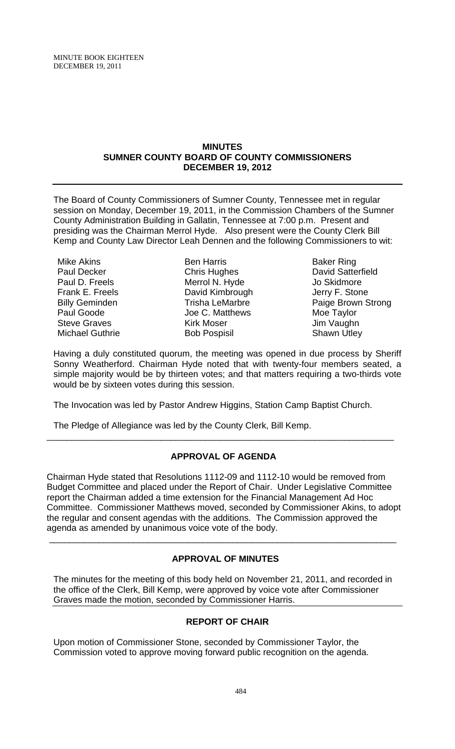### **MINUTES SUMNER COUNTY BOARD OF COUNTY COMMISSIONERS DECEMBER 19, 2012**

The Board of County Commissioners of Sumner County, Tennessee met in regular session on Monday, December 19, 2011, in the Commission Chambers of the Sumner County Administration Building in Gallatin, Tennessee at 7:00 p.m. Present and presiding was the Chairman Merrol Hyde. Also present were the County Clerk Bill Kemp and County Law Director Leah Dennen and the following Commissioners to wit:

Mike Akins Paul Decker Paul D. Freels Frank E. Freels Billy Geminden Paul Goode Steve Graves Michael Guthrie

Ben Harris Chris Hughes Merrol N. Hyde David Kimbrough Trisha LeMarbre Joe C. Matthews Kirk Moser Bob Pospisil

Baker Ring David Satterfield Jo Skidmore Jerry F. Stone Paige Brown Strong Moe Taylor Jim Vaughn Shawn Utley

Having a duly constituted quorum, the meeting was opened in due process by Sheriff Sonny Weatherford. Chairman Hyde noted that with twenty-four members seated, a simple majority would be by thirteen votes; and that matters requiring a two-thirds vote would be by sixteen votes during this session.

The Invocation was led by Pastor Andrew Higgins, Station Camp Baptist Church.

The Pledge of Allegiance was led by the County Clerk, Bill Kemp.

# **APPROVAL OF AGENDA**

\_\_\_\_\_\_\_\_\_\_\_\_\_\_\_\_\_\_\_\_\_\_\_\_\_\_\_\_\_\_\_\_\_\_\_\_\_\_\_\_\_\_\_\_\_\_\_\_\_\_\_\_\_\_\_\_\_\_\_\_\_\_\_\_\_\_\_\_\_\_

Chairman Hyde stated that Resolutions 1112-09 and 1112-10 would be removed from Budget Committee and placed under the Report of Chair. Under Legislative Committee report the Chairman added a time extension for the Financial Management Ad Hoc Committee. Commissioner Matthews moved, seconded by Commissioner Akins, to adopt the regular and consent agendas with the additions. The Commission approved the agenda as amended by unanimous voice vote of the body.

# **APPROVAL OF MINUTES**

\_\_\_\_\_\_\_\_\_\_\_\_\_\_\_\_\_\_\_\_\_\_\_\_\_\_\_\_\_\_\_\_\_\_\_\_\_\_\_\_\_\_\_\_\_\_\_\_\_\_\_\_\_\_\_\_\_\_\_\_\_\_\_\_\_\_\_\_\_\_

The minutes for the meeting of this body held on November 21, 2011, and recorded in the office of the Clerk, Bill Kemp, were approved by voice vote after Commissioner Graves made the motion, seconded by Commissioner Harris.

# **REPORT OF CHAIR**

Upon motion of Commissioner Stone, seconded by Commissioner Taylor, the Commission voted to approve moving forward public recognition on the agenda.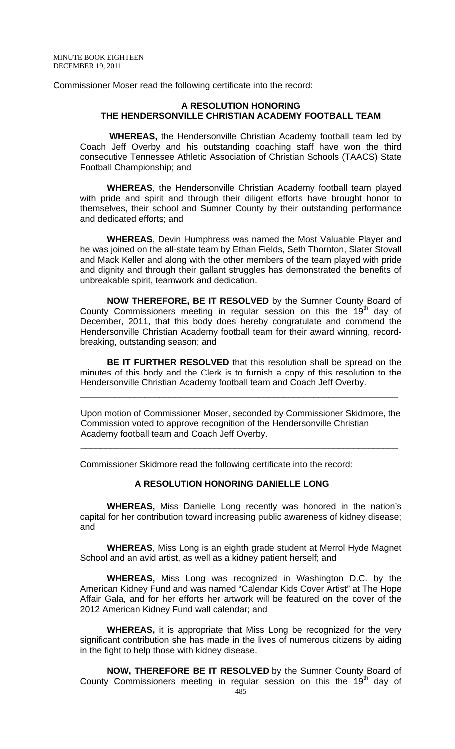Commissioner Moser read the following certificate into the record:

### **A RESOLUTION HONORING THE HENDERSONVILLE CHRISTIAN ACADEMY FOOTBALL TEAM**

 **WHEREAS,** the Hendersonville Christian Academy football team led by Coach Jeff Overby and his outstanding coaching staff have won the third consecutive Tennessee Athletic Association of Christian Schools (TAACS) State Football Championship; and

**WHEREAS**, the Hendersonville Christian Academy football team played with pride and spirit and through their diligent efforts have brought honor to themselves, their school and Sumner County by their outstanding performance and dedicated efforts; and

**WHEREAS**, Devin Humphress was named the Most Valuable Player and he was joined on the all-state team by Ethan Fields, Seth Thornton, Slater Stovall and Mack Keller and along with the other members of the team played with pride and dignity and through their gallant struggles has demonstrated the benefits of unbreakable spirit, teamwork and dedication.

**NOW THEREFORE, BE IT RESOLVED** by the Sumner County Board of County Commissioners meeting in regular session on this the  $19<sup>th</sup>$  day of December, 2011, that this body does hereby congratulate and commend the Hendersonville Christian Academy football team for their award winning, recordbreaking, outstanding season; and

**BE IT FURTHER RESOLVED** that this resolution shall be spread on the minutes of this body and the Clerk is to furnish a copy of this resolution to the Hendersonville Christian Academy football team and Coach Jeff Overby.

\_\_\_\_\_\_\_\_\_\_\_\_\_\_\_\_\_\_\_\_\_\_\_\_\_\_\_\_\_\_\_\_\_\_\_\_\_\_\_\_\_\_\_\_\_\_\_\_\_\_\_\_\_\_\_\_\_\_\_\_\_\_\_\_

 Upon motion of Commissioner Moser, seconded by Commissioner Skidmore, the Commission voted to approve recognition of the Hendersonville Christian Academy football team and Coach Jeff Overby.

Commissioner Skidmore read the following certificate into the record:

### **A RESOLUTION HONORING DANIELLE LONG**

 $\frac{1}{2}$  ,  $\frac{1}{2}$  ,  $\frac{1}{2}$  ,  $\frac{1}{2}$  ,  $\frac{1}{2}$  ,  $\frac{1}{2}$  ,  $\frac{1}{2}$  ,  $\frac{1}{2}$  ,  $\frac{1}{2}$  ,  $\frac{1}{2}$  ,  $\frac{1}{2}$  ,  $\frac{1}{2}$  ,  $\frac{1}{2}$  ,  $\frac{1}{2}$  ,  $\frac{1}{2}$  ,  $\frac{1}{2}$  ,  $\frac{1}{2}$  ,  $\frac{1}{2}$  ,  $\frac{1$ 

**WHEREAS,** Miss Danielle Long recently was honored in the nation's capital for her contribution toward increasing public awareness of kidney disease; and

**WHEREAS**, Miss Long is an eighth grade student at Merrol Hyde Magnet School and an avid artist, as well as a kidney patient herself; and

**WHEREAS,** Miss Long was recognized in Washington D.C. by the American Kidney Fund and was named "Calendar Kids Cover Artist" at The Hope Affair Gala, and for her efforts her artwork will be featured on the cover of the 2012 American Kidney Fund wall calendar; and

**WHEREAS,** it is appropriate that Miss Long be recognized for the very significant contribution she has made in the lives of numerous citizens by aiding in the fight to help those with kidney disease.

**NOW, THEREFORE BE IT RESOLVED** by the Sumner County Board of County Commissioners meeting in regular session on this the  $19<sup>th</sup>$  day of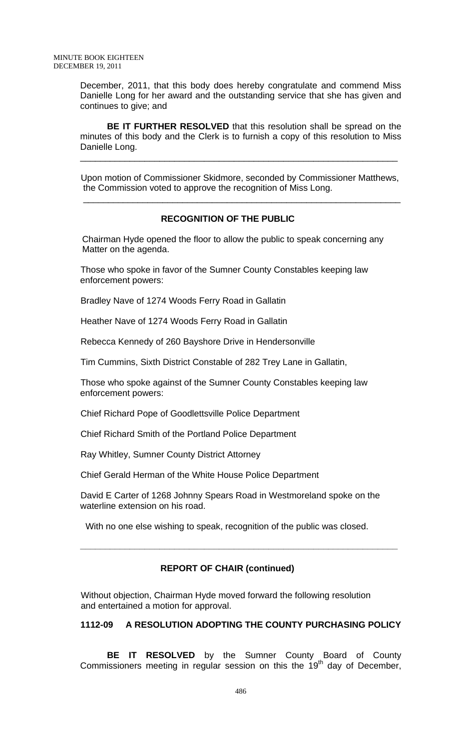December, 2011, that this body does hereby congratulate and commend Miss Danielle Long for her award and the outstanding service that she has given and continues to give; and

**BE IT FURTHER RESOLVED** that this resolution shall be spread on the minutes of this body and the Clerk is to furnish a copy of this resolution to Miss Danielle Long.

 Upon motion of Commissioner Skidmore, seconded by Commissioner Matthews, the Commission voted to approve the recognition of Miss Long.

\_\_\_\_\_\_\_\_\_\_\_\_\_\_\_\_\_\_\_\_\_\_\_\_\_\_\_\_\_\_\_\_\_\_\_\_\_\_\_\_\_\_\_\_\_\_\_\_\_\_\_\_\_\_\_\_\_\_\_\_\_\_\_\_

### **RECOGNITION OF THE PUBLIC**

\_\_\_\_\_\_\_\_\_\_\_\_\_\_\_\_\_\_\_\_\_\_\_\_\_\_\_\_\_\_\_\_\_\_\_\_\_\_\_\_\_\_\_\_\_\_\_\_\_\_\_\_\_\_\_\_\_\_\_\_\_\_\_\_

 Chairman Hyde opened the floor to allow the public to speak concerning any Matter on the agenda.

Those who spoke in favor of the Sumner County Constables keeping law enforcement powers:

Bradley Nave of 1274 Woods Ferry Road in Gallatin

Heather Nave of 1274 Woods Ferry Road in Gallatin

Rebecca Kennedy of 260 Bayshore Drive in Hendersonville

Tim Cummins, Sixth District Constable of 282 Trey Lane in Gallatin,

Those who spoke against of the Sumner County Constables keeping law enforcement powers:

Chief Richard Pope of Goodlettsville Police Department

Chief Richard Smith of the Portland Police Department

Ray Whitley, Sumner County District Attorney

Chief Gerald Herman of the White House Police Department

David E Carter of 1268 Johnny Spears Road in Westmoreland spoke on the waterline extension on his road.

With no one else wishing to speak, recognition of the public was closed.

# **REPORT OF CHAIR (continued)**

**\_\_\_\_\_\_\_\_\_\_\_\_\_\_\_\_\_\_\_\_\_\_\_\_\_\_\_\_\_\_\_\_\_\_\_\_\_\_\_\_\_\_\_\_\_\_\_\_\_\_\_\_\_\_\_\_\_\_\_\_\_\_\_\_** 

 Without objection, Chairman Hyde moved forward the following resolution and entertained a motion for approval.

### **1112-09 A RESOLUTION ADOPTING THE COUNTY PURCHASING POLICY**

**BE IT RESOLVED** by the Sumner County Board of County Commissioners meeting in regular session on this the  $19<sup>th</sup>$  day of December,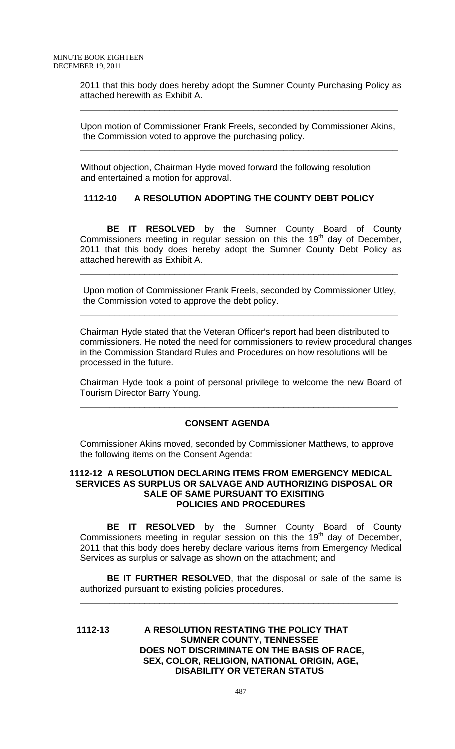2011 that this body does hereby adopt the Sumner County Purchasing Policy as attached herewith as Exhibit A.

\_\_\_\_\_\_\_\_\_\_\_\_\_\_\_\_\_\_\_\_\_\_\_\_\_\_\_\_\_\_\_\_\_\_\_\_\_\_\_\_\_\_\_\_\_\_\_\_\_\_\_\_\_\_\_\_\_\_\_\_\_\_\_\_

 Upon motion of Commissioner Frank Freels, seconded by Commissioner Akins, the Commission voted to approve the purchasing policy.

**\_\_\_\_\_\_\_\_\_\_\_\_\_\_\_\_\_\_\_\_\_\_\_\_\_\_\_\_\_\_\_\_\_\_\_\_\_\_\_\_\_\_\_\_\_\_\_\_\_\_\_\_\_\_\_\_\_\_\_\_\_\_\_\_** 

 Without objection, Chairman Hyde moved forward the following resolution and entertained a motion for approval.

# **1112-10 A RESOLUTION ADOPTING THE COUNTY DEBT POLICY**

**BE IT RESOLVED** by the Sumner County Board of County Commissioners meeting in regular session on this the 19<sup>th</sup> day of December, 2011 that this body does hereby adopt the Sumner County Debt Policy as attached herewith as Exhibit A.

 Upon motion of Commissioner Frank Freels, seconded by Commissioner Utley, the Commission voted to approve the debt policy.

**\_\_\_\_\_\_\_\_\_\_\_\_\_\_\_\_\_\_\_\_\_\_\_\_\_\_\_\_\_\_\_\_\_\_\_\_\_\_\_\_\_\_\_\_\_\_\_\_\_\_\_\_\_\_\_\_\_\_\_\_\_\_\_\_** 

\_\_\_\_\_\_\_\_\_\_\_\_\_\_\_\_\_\_\_\_\_\_\_\_\_\_\_\_\_\_\_\_\_\_\_\_\_\_\_\_\_\_\_\_\_\_\_\_\_\_\_\_\_\_\_\_\_\_\_\_\_\_\_\_

Chairman Hyde stated that the Veteran Officer's report had been distributed to commissioners. He noted the need for commissioners to review procedural changes in the Commission Standard Rules and Procedures on how resolutions will be processed in the future.

Chairman Hyde took a point of personal privilege to welcome the new Board of Tourism Director Barry Young.

\_\_\_\_\_\_\_\_\_\_\_\_\_\_\_\_\_\_\_\_\_\_\_\_\_\_\_\_\_\_\_\_\_\_\_\_\_\_\_\_\_\_\_\_\_\_\_\_\_\_\_\_\_\_\_\_\_\_\_\_\_\_\_\_

# **CONSENT AGENDA**

Commissioner Akins moved, seconded by Commissioner Matthews, to approve the following items on the Consent Agenda:

### **1112-12 A RESOLUTION DECLARING ITEMS FROM EMERGENCY MEDICAL SERVICES AS SURPLUS OR SALVAGE AND AUTHORIZING DISPOSAL OR SALE OF SAME PURSUANT TO EXISITING POLICIES AND PROCEDURES**

**BE IT RESOLVED** by the Sumner County Board of County Commissioners meeting in regular session on this the  $19<sup>th</sup>$  day of December, 2011 that this body does hereby declare various items from Emergency Medical Services as surplus or salvage as shown on the attachment; and

**BE IT FURTHER RESOLVED**, that the disposal or sale of the same is authorized pursuant to existing policies procedures.

\_\_\_\_\_\_\_\_\_\_\_\_\_\_\_\_\_\_\_\_\_\_\_\_\_\_\_\_\_\_\_\_\_\_\_\_\_\_\_\_\_\_\_\_\_\_\_\_\_\_\_\_\_\_\_\_\_\_\_\_\_\_\_\_

**1112-13 A RESOLUTION RESTATING THE POLICY THAT SUMNER COUNTY, TENNESSEE DOES NOT DISCRIMINATE ON THE BASIS OF RACE, SEX, COLOR, RELIGION, NATIONAL ORIGIN, AGE, DISABILITY OR VETERAN STATUS**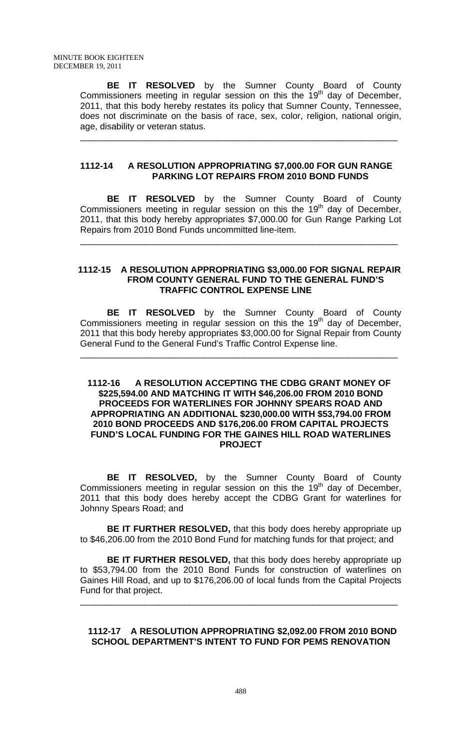**BE IT RESOLVED** by the Sumner County Board of County Commissioners meeting in regular session on this the  $19<sup>th</sup>$  day of December, 2011, that this body hereby restates its policy that Sumner County, Tennessee, does not discriminate on the basis of race, sex, color, religion, national origin, age, disability or veteran status.

\_\_\_\_\_\_\_\_\_\_\_\_\_\_\_\_\_\_\_\_\_\_\_\_\_\_\_\_\_\_\_\_\_\_\_\_\_\_\_\_\_\_\_\_\_\_\_\_\_\_\_\_\_\_\_\_\_\_\_\_\_\_\_\_

### **1112-14 A RESOLUTION APPROPRIATING \$7,000.00 FOR GUN RANGE PARKING LOT REPAIRS FROM 2010 BOND FUNDS**

**BE IT RESOLVED** by the Sumner County Board of County Commissioners meeting in regular session on this the 19<sup>th</sup> day of December, 2011, that this body hereby appropriates \$7,000.00 for Gun Range Parking Lot Repairs from 2010 Bond Funds uncommitted line-item.

\_\_\_\_\_\_\_\_\_\_\_\_\_\_\_\_\_\_\_\_\_\_\_\_\_\_\_\_\_\_\_\_\_\_\_\_\_\_\_\_\_\_\_\_\_\_\_\_\_\_\_\_\_\_\_\_\_\_\_\_\_\_\_\_

#### **1112-15 A RESOLUTION APPROPRIATING \$3,000.00 FOR SIGNAL REPAIR FROM COUNTY GENERAL FUND TO THE GENERAL FUND'S TRAFFIC CONTROL EXPENSE LINE**

 **BE IT RESOLVED** by the Sumner County Board of County Commissioners meeting in regular session on this the 19<sup>th</sup> day of December, 2011 that this body hereby appropriates \$3,000.00 for Signal Repair from County General Fund to the General Fund's Traffic Control Expense line.

\_\_\_\_\_\_\_\_\_\_\_\_\_\_\_\_\_\_\_\_\_\_\_\_\_\_\_\_\_\_\_\_\_\_\_\_\_\_\_\_\_\_\_\_\_\_\_\_\_\_\_\_\_\_\_\_\_\_\_\_\_\_\_\_

### **1112-16 A RESOLUTION ACCEPTING THE CDBG GRANT MONEY OF \$225,594.00 AND MATCHING IT WITH \$46,206.00 FROM 2010 BOND PROCEEDS FOR WATERLINES FOR JOHNNY SPEARS ROAD AND APPROPRIATING AN ADDITIONAL \$230,000.00 WITH \$53,794.00 FROM 2010 BOND PROCEEDS AND \$176,206.00 FROM CAPITAL PROJECTS FUND'S LOCAL FUNDING FOR THE GAINES HILL ROAD WATERLINES PROJECT**

**BE IT RESOLVED,** by the Sumner County Board of County Commissioners meeting in regular session on this the  $19<sup>th</sup>$  day of December, 2011 that this body does hereby accept the CDBG Grant for waterlines for Johnny Spears Road; and

**BE IT FURTHER RESOLVED,** that this body does hereby appropriate up to \$46,206.00 from the 2010 Bond Fund for matching funds for that project; and

**BE IT FURTHER RESOLVED,** that this body does hereby appropriate up to \$53,794.00 from the 2010 Bond Funds for construction of waterlines on Gaines Hill Road, and up to \$176,206.00 of local funds from the Capital Projects Fund for that project.

\_\_\_\_\_\_\_\_\_\_\_\_\_\_\_\_\_\_\_\_\_\_\_\_\_\_\_\_\_\_\_\_\_\_\_\_\_\_\_\_\_\_\_\_\_\_\_\_\_\_\_\_\_\_\_\_\_\_\_\_\_\_\_\_

### **1112-17 A RESOLUTION APPROPRIATING \$2,092.00 FROM 2010 BOND SCHOOL DEPARTMENT'S INTENT TO FUND FOR PEMS RENOVATION**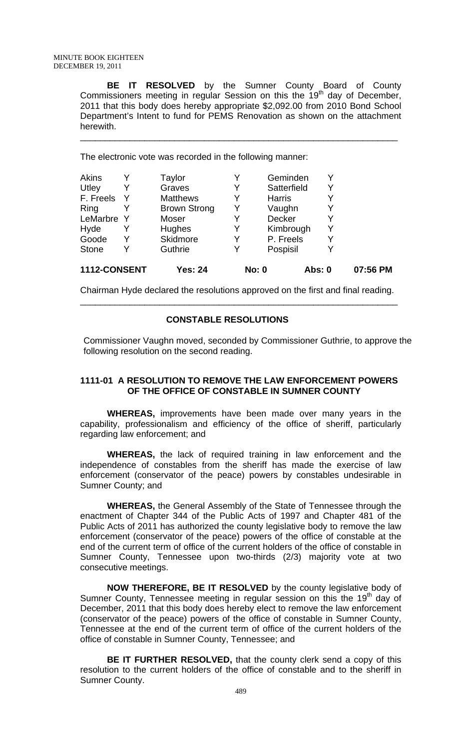**BE IT RESOLVED** by the Sumner County Board of County Commissioners meeting in regular Session on this the 19<sup>th</sup> day of December, 2011 that this body does hereby appropriate \$2,092.00 from 2010 Bond School Department's Intent to fund for PEMS Renovation as shown on the attachment herewith.

\_\_\_\_\_\_\_\_\_\_\_\_\_\_\_\_\_\_\_\_\_\_\_\_\_\_\_\_\_\_\_\_\_\_\_\_\_\_\_\_\_\_\_\_\_\_\_\_\_\_\_\_\_\_\_\_\_\_\_\_\_\_\_\_

The electronic vote was recorded in the following manner:

| Y<br>v     | Skidmore<br>Guthrie | Y | P. Freels<br>Pospisil | Y<br>Y |  |
|------------|---------------------|---|-----------------------|--------|--|
|            |                     |   |                       |        |  |
|            |                     |   |                       |        |  |
|            | Hughes              |   | Kimbrough             | Y      |  |
| LeMarbre Y | Moser               |   | Decker                | Y      |  |
|            | <b>Brown Strong</b> | Y | Vaughn                | Y      |  |
|            | <b>Matthews</b>     |   | <b>Harris</b>         | Y      |  |
| Y          | Graves              | Y | Satterfield           | Y      |  |
|            | Taylor              |   | Geminden              | Y      |  |
|            |                     |   |                       |        |  |

Chairman Hyde declared the resolutions approved on the first and final reading. \_\_\_\_\_\_\_\_\_\_\_\_\_\_\_\_\_\_\_\_\_\_\_\_\_\_\_\_\_\_\_\_\_\_\_\_\_\_\_\_\_\_\_\_\_\_\_\_\_\_\_\_\_\_\_\_\_\_\_\_\_\_\_\_

### **CONSTABLE RESOLUTIONS**

Commissioner Vaughn moved, seconded by Commissioner Guthrie, to approve the following resolution on the second reading.

### **1111-01 A RESOLUTION TO REMOVE THE LAW ENFORCEMENT POWERS OF THE OFFICE OF CONSTABLE IN SUMNER COUNTY**

 **WHEREAS,** improvements have been made over many years in the capability, professionalism and efficiency of the office of sheriff, particularly regarding law enforcement; and

**WHEREAS,** the lack of required training in law enforcement and the independence of constables from the sheriff has made the exercise of law enforcement (conservator of the peace) powers by constables undesirable in Sumner County; and

**WHEREAS,** the General Assembly of the State of Tennessee through the enactment of Chapter 344 of the Public Acts of 1997 and Chapter 481 of the Public Acts of 2011 has authorized the county legislative body to remove the law enforcement (conservator of the peace) powers of the office of constable at the end of the current term of office of the current holders of the office of constable in Sumner County, Tennessee upon two-thirds (2/3) majority vote at two consecutive meetings.

**NOW THEREFORE, BE IT RESOLVED** by the county legislative body of Sumner County, Tennessee meeting in regular session on this the 19<sup>th</sup> day of December, 2011 that this body does hereby elect to remove the law enforcement (conservator of the peace) powers of the office of constable in Sumner County, Tennessee at the end of the current term of office of the current holders of the office of constable in Sumner County, Tennessee; and

**BE IT FURTHER RESOLVED,** that the county clerk send a copy of this resolution to the current holders of the office of constable and to the sheriff in Sumner County.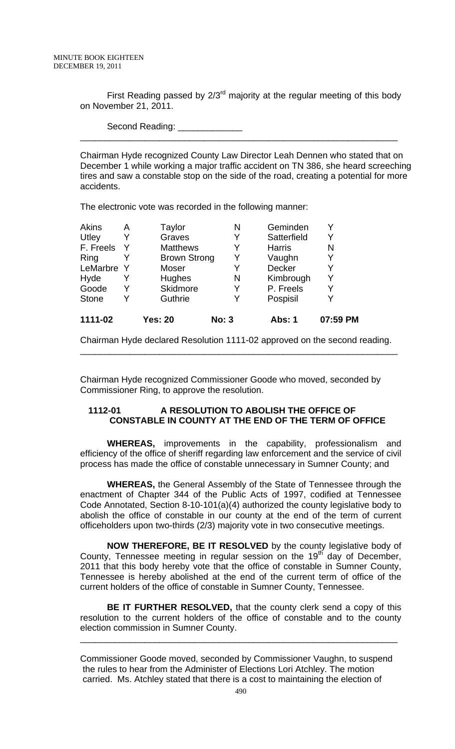First Reading passed by  $2/3<sup>rd</sup>$  majority at the regular meeting of this body on November 21, 2011.

\_\_\_\_\_\_\_\_\_\_\_\_\_\_\_\_\_\_\_\_\_\_\_\_\_\_\_\_\_\_\_\_\_\_\_\_\_\_\_\_\_\_\_\_\_\_\_\_\_\_\_\_\_\_\_\_\_\_\_\_\_\_\_\_

Second Reading:

Chairman Hyde recognized County Law Director Leah Dennen who stated that on December 1 while working a major traffic accident on TN 386, she heard screeching tires and saw a constable stop on the side of the road, creating a potential for more accidents.

The electronic vote was recorded in the following manner:

| 1111-02      |   | <b>Yes: 20</b>      | <b>No: 3</b> | <b>Abs: 1</b> | 07:59 PM |
|--------------|---|---------------------|--------------|---------------|----------|
| <b>Stone</b> | Y | Guthrie             | Y            | Pospisil      |          |
| Goode        | Y | Skidmore            | Y            | P. Freels     |          |
| Hyde         | Y | Hughes              | N            | Kimbrough     | Y        |
| LeMarbre     | Y | Moser               | Y            | <b>Decker</b> |          |
| Ring         |   | <b>Brown Strong</b> | Y            | Vaughn        |          |
| F. Freels    | Y | <b>Matthews</b>     | Y            | <b>Harris</b> | N        |
| Utley        | Y | Graves              | Y            | Satterfield   |          |
| <b>Akins</b> | Α | Taylor              | Ν            | Geminden      |          |

Chairman Hyde declared Resolution 1111-02 approved on the second reading. \_\_\_\_\_\_\_\_\_\_\_\_\_\_\_\_\_\_\_\_\_\_\_\_\_\_\_\_\_\_\_\_\_\_\_\_\_\_\_\_\_\_\_\_\_\_\_\_\_\_\_\_\_\_\_\_\_\_\_\_\_\_\_\_

Chairman Hyde recognized Commissioner Goode who moved, seconded by Commissioner Ring, to approve the resolution.

### **1112-01 A RESOLUTION TO ABOLISH THE OFFICE OF CONSTABLE IN COUNTY AT THE END OF THE TERM OF OFFICE**

 **WHEREAS,** improvements in the capability, professionalism and efficiency of the office of sheriff regarding law enforcement and the service of civil process has made the office of constable unnecessary in Sumner County; and

**WHEREAS,** the General Assembly of the State of Tennessee through the enactment of Chapter 344 of the Public Acts of 1997, codified at Tennessee Code Annotated, Section 8-10-101(a)(4) authorized the county legislative body to abolish the office of constable in our county at the end of the term of current officeholders upon two-thirds (2/3) majority vote in two consecutive meetings.

**NOW THEREFORE, BE IT RESOLVED** by the county legislative body of County, Tennessee meeting in regular session on the  $19<sup>th</sup>$  day of December, 2011 that this body hereby vote that the office of constable in Sumner County, Tennessee is hereby abolished at the end of the current term of office of the current holders of the office of constable in Sumner County, Tennessee.

**BE IT FURTHER RESOLVED,** that the county clerk send a copy of this resolution to the current holders of the office of constable and to the county election commission in Sumner County.

\_\_\_\_\_\_\_\_\_\_\_\_\_\_\_\_\_\_\_\_\_\_\_\_\_\_\_\_\_\_\_\_\_\_\_\_\_\_\_\_\_\_\_\_\_\_\_\_\_\_\_\_\_\_\_\_\_\_\_\_\_\_\_\_

Commissioner Goode moved, seconded by Commissioner Vaughn, to suspend the rules to hear from the Administer of Elections Lori Atchley. The motion carried. Ms. Atchley stated that there is a cost to maintaining the election of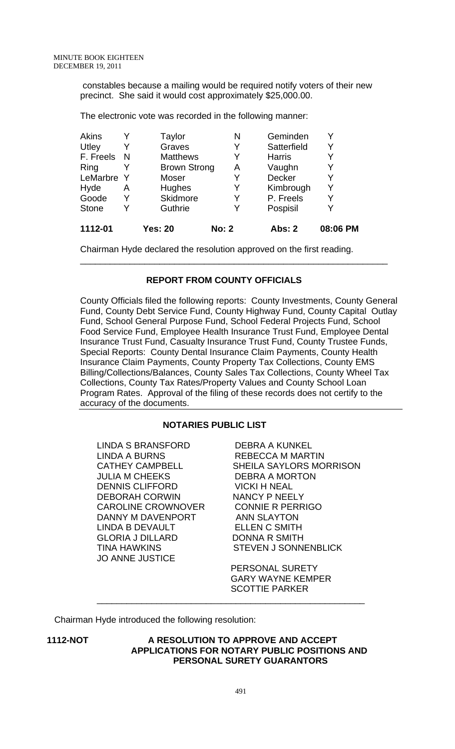constables because a mailing would be required notify voters of their new precinct. She said it would cost approximately \$25,000.00.

The electronic vote was recorded in the following manner:

| 1112-01      |   | <b>Yes: 20</b>      | <b>No: 2</b> | Abs: 2        | 08:06 PM |
|--------------|---|---------------------|--------------|---------------|----------|
| <b>Stone</b> | Y | Guthrie             |              | Pospisil      |          |
| Goode        | Y | Skidmore            | Y            | P. Freels     |          |
| Hyde         | Α | Hughes              | Y            | Kimbrough     | Y        |
| LeMarbre     | Y | Moser               | Y            | Decker        |          |
| Ring         |   | <b>Brown Strong</b> | A            | Vaughn        |          |
| F. Freels    | N | <b>Matthews</b>     | Y            | <b>Harris</b> |          |
| Utley        | Y | Graves              | Y            | Satterfield   |          |
| <b>Akins</b> |   | Taylor              | Ν            | Geminden      |          |

Chairman Hyde declared the resolution approved on the first reading.

### **REPORT FROM COUNTY OFFICIALS**

\_\_\_\_\_\_\_\_\_\_\_\_\_\_\_\_\_\_\_\_\_\_\_\_\_\_\_\_\_\_\_\_\_\_\_\_\_\_\_\_\_\_\_\_\_\_\_\_\_\_\_\_\_\_\_\_\_\_\_\_\_\_

County Officials filed the following reports: County Investments, County General Fund, County Debt Service Fund, County Highway Fund, County Capital Outlay Fund, School General Purpose Fund, School Federal Projects Fund, School Food Service Fund, Employee Health Insurance Trust Fund, Employee Dental Insurance Trust Fund, Casualty Insurance Trust Fund, County Trustee Funds, Special Reports: County Dental Insurance Claim Payments, County Health Insurance Claim Payments, County Property Tax Collections, County EMS Billing/Collections/Balances, County Sales Tax Collections, County Wheel Tax Collections, County Tax Rates/Property Values and County School Loan Program Rates. Approval of the filing of these records does not certify to the accuracy of the documents.

# **NOTARIES PUBLIC LIST**

LINDA S BRANSFORD DEBRA A KUNKEL<br>LINDA A BURNS REBECCA M MART JULIA M CHEEKS DEBRA A MORTON DENNIS CLIFFORD VICKI H NEAL DEBORAH CORWIN NANCY P NEELY CAROLINE CROWNOVER CONNIE R PERRIGO DANNY M DAVENPORT ANN SLAYTON LINDA B DEVAULT ELLEN C SMITH GLORIA J DILLARD DONNA R SMITH JO ANNE JUSTICE

REBECCA M MARTIN CATHEY CAMPBELL SHEILA SAYLORS MORRISON TINA HAWKINS STEVEN J SONNENBLICK

> PERSONAL SURETY GARY WAYNE KEMPER SCOTTIE PARKER

Chairman Hyde introduced the following resolution:

### **1112-NOT A RESOLUTION TO APPROVE AND ACCEPT APPLICATIONS FOR NOTARY PUBLIC POSITIONS AND PERSONAL SURETY GUARANTORS**

\_\_\_\_\_\_\_\_\_\_\_\_\_\_\_\_\_\_\_\_\_\_\_\_\_\_\_\_\_\_\_\_\_\_\_\_\_\_\_\_\_\_\_\_\_\_\_\_\_\_\_\_\_\_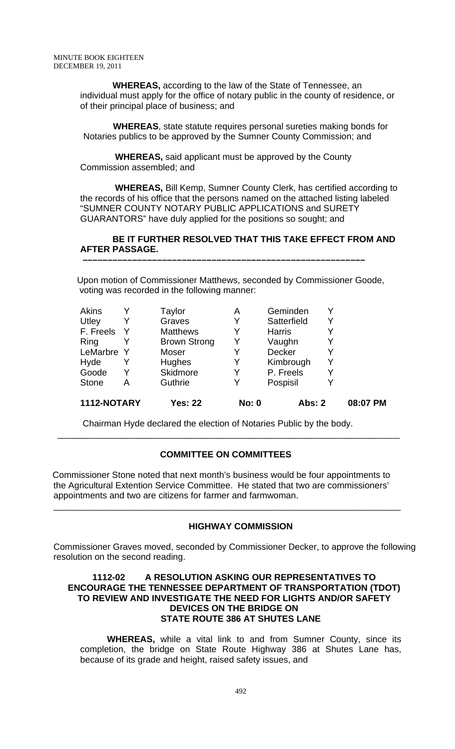**WHEREAS,** according to the law of the State of Tennessee, an individual must apply for the office of notary public in the county of residence, or of their principal place of business; and

 **WHEREAS**, state statute requires personal sureties making bonds for Notaries publics to be approved by the Sumner County Commission; and

 **WHEREAS,** said applicant must be approved by the County Commission assembled; and

 **WHEREAS,** Bill Kemp, Sumner County Clerk, has certified according to the records of his office that the persons named on the attached listing labeled "SUMNER COUNTY NOTARY PUBLIC APPLICATIONS and SURETY GUARANTORS" have duly applied for the positions so sought; and

### **BE IT FURTHER RESOLVED THAT THIS TAKE EFFECT FROM AND AFTER PASSAGE.**

Upon motion of Commissioner Matthews, seconded by Commissioner Goode, voting was recorded in the following manner:

 **–––––––––––––––––––––––––––––––––––––––––––––––––––––––––**

| 1112-NOTARY  |   | <b>Yes: 22</b>      | <b>No: 0</b> | <b>Abs: 2</b> |   | 08:07 PM |
|--------------|---|---------------------|--------------|---------------|---|----------|
| <b>Stone</b> | А | Guthrie             | Y            | Pospisil      |   |          |
| Goode        | Y | Skidmore            | Y            | P. Freels     | Y |          |
| Hyde         |   | Hughes              | Y            | Kimbrough     | Y |          |
| LeMarbre Y   |   | Moser               | Y            | <b>Decker</b> | Y |          |
| Ring         |   | <b>Brown Strong</b> | Y            | Vaughn        |   |          |
| F. Freels    |   | <b>Matthews</b>     | Y            | <b>Harris</b> |   |          |
| Utley        |   | Graves              | Y            | Satterfield   | Y |          |
| <b>Akins</b> |   | Taylor              | Α            | Geminden      |   |          |

Chairman Hyde declared the election of Notaries Public by the body.

# **COMMITTEE ON COMMITTEES**

 $\overline{\phantom{a}}$  , and the contribution of the contribution of the contribution of the contribution of the contribution of the contribution of the contribution of the contribution of the contribution of the contribution of the

 Commissioner Stone noted that next month's business would be four appointments to the Agricultural Extention Service Committee. He stated that two are commissioners' appointments and two are citizens for farmer and farmwoman.

\_\_\_\_\_\_\_\_\_\_\_\_\_\_\_\_\_\_\_\_\_\_\_\_\_\_\_\_\_\_\_\_\_\_\_\_\_\_\_\_\_\_\_\_\_\_\_\_\_\_\_\_\_\_\_\_\_\_\_\_\_\_\_\_\_\_\_\_\_\_

# **HIGHWAY COMMISSION**

Commissioner Graves moved, seconded by Commissioner Decker, to approve the following resolution on the second reading.

### **1112-02 A RESOLUTION ASKING OUR REPRESENTATIVES TO ENCOURAGE THE TENNESSEE DEPARTMENT OF TRANSPORTATION (TDOT) TO REVIEW AND INVESTIGATE THE NEED FOR LIGHTS AND/OR SAFETY DEVICES ON THE BRIDGE ON STATE ROUTE 386 AT SHUTES LANE**

**WHEREAS,** while a vital link to and from Sumner County, since its completion, the bridge on State Route Highway 386 at Shutes Lane has, because of its grade and height, raised safety issues, and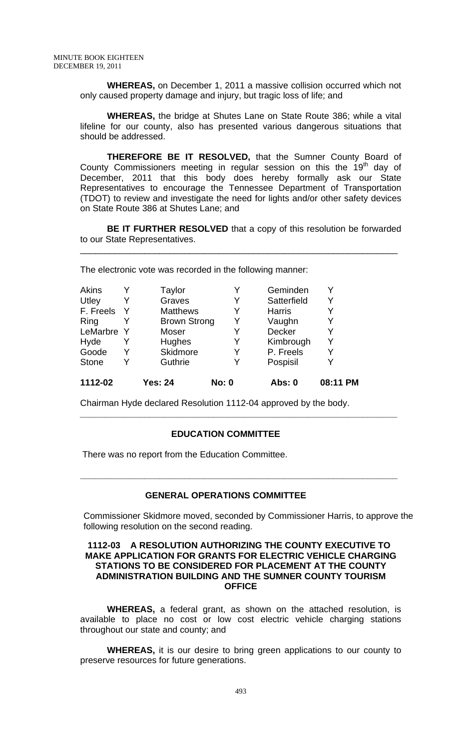**WHEREAS,** on December 1, 2011 a massive collision occurred which not only caused property damage and injury, but tragic loss of life; and

**WHEREAS,** the bridge at Shutes Lane on State Route 386; while a vital lifeline for our county, also has presented various dangerous situations that should be addressed.

 **THEREFORE BE IT RESOLVED,** that the Sumner County Board of County Commissioners meeting in regular session on this the  $19<sup>th</sup>$  day of December, 2011 that this body does hereby formally ask our State Representatives to encourage the Tennessee Department of Transportation (TDOT) to review and investigate the need for lights and/or other safety devices on State Route 386 at Shutes Lane; and

**BE IT FURTHER RESOLVED** that a copy of this resolution be forwarded to our State Representatives.

\_\_\_\_\_\_\_\_\_\_\_\_\_\_\_\_\_\_\_\_\_\_\_\_\_\_\_\_\_\_\_\_\_\_\_\_\_\_\_\_\_\_\_\_\_\_\_\_\_\_\_\_\_\_\_\_\_\_\_\_\_\_\_\_

The electronic vote was recorded in the following manner:

| Akins        |              | Taylor              |              | Geminden      | v        |
|--------------|--------------|---------------------|--------------|---------------|----------|
| Utley        | Y            | Graves              | Y            | Satterfield   | Y        |
| F. Freels    | $\mathsf{Y}$ | <b>Matthews</b>     | Y            | <b>Harris</b> | Y        |
| Ring         |              | <b>Brown Strong</b> | Y            | Vaughn        | Y        |
| LeMarbre Y   |              | Moser               | Y            | Decker        | Y        |
| Hyde         |              | Hughes              | Y            | Kimbrough     | Y        |
| Goode        | Y            | Skidmore            | Y            | P. Freels     | Y        |
| <b>Stone</b> | Y            | Guthrie             | Y            | Pospisil      | Y        |
| 1112-02      |              | <b>Yes: 24</b>      | <b>No: 0</b> | <b>Abs: 0</b> | 08:11 PM |

Chairman Hyde declared Resolution 1112-04 approved by the body.

### **EDUCATION COMMITTEE**

 **\_\_\_\_\_\_\_\_\_\_\_\_\_\_\_\_\_\_\_\_\_\_\_\_\_\_\_\_\_\_\_\_\_\_\_\_\_\_\_\_\_\_\_\_\_\_\_\_\_\_\_\_\_\_\_\_\_\_\_\_\_\_\_\_** 

There was no report from the Education Committee.

### **GENERAL OPERATIONS COMMITTEE**

Commissioner Skidmore moved, seconded by Commissioner Harris, to approve the following resolution on the second reading.

**\_\_\_\_\_\_\_\_\_\_\_\_\_\_\_\_\_\_\_\_\_\_\_\_\_\_\_\_\_\_\_\_\_\_\_\_\_\_\_\_\_\_\_\_\_\_\_\_\_\_\_\_\_\_\_\_\_\_\_\_\_\_\_\_** 

### **1112-03 A RESOLUTION AUTHORIZING THE COUNTY EXECUTIVE TO MAKE APPLICATION FOR GRANTS FOR ELECTRIC VEHICLE CHARGING STATIONS TO BE CONSIDERED FOR PLACEMENT AT THE COUNTY ADMINISTRATION BUILDING AND THE SUMNER COUNTY TOURISM OFFICE**

 **WHEREAS,** a federal grant, as shown on the attached resolution, is available to place no cost or low cost electric vehicle charging stations throughout our state and county; and

**WHEREAS,** it is our desire to bring green applications to our county to preserve resources for future generations.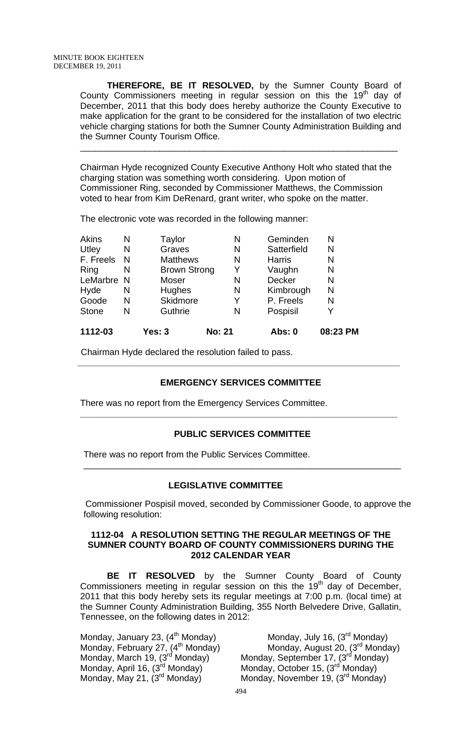**THEREFORE, BE IT RESOLVED,** by the Sumner County Board of County Commissioners meeting in regular session on this the  $19<sup>th</sup>$  day of December, 2011 that this body does hereby authorize the County Executive to make application for the grant to be considered for the installation of two electric vehicle charging stations for both the Sumner County Administration Building and the Sumner County Tourism Office.

\_\_\_\_\_\_\_\_\_\_\_\_\_\_\_\_\_\_\_\_\_\_\_\_\_\_\_\_\_\_\_\_\_\_\_\_\_\_\_\_\_\_\_\_\_\_\_\_\_\_\_\_\_\_\_\_\_\_\_\_\_\_\_\_

Chairman Hyde recognized County Executive Anthony Holt who stated that the charging station was something worth considering. Upon motion of Commissioner Ring, seconded by Commissioner Matthews, the Commission voted to hear from Kim DeRenard, grant writer, who spoke on the matter.

The electronic vote was recorded in the following manner:

| 1112-03      |   | Yes: 3              | <b>No: 21</b> | Abs: 0        | 08:23 PM |
|--------------|---|---------------------|---------------|---------------|----------|
| <b>Stone</b> | N | Guthrie             | N             | Pospisil      |          |
| Goode        | N | Skidmore            | Y             | P. Freels     | N        |
| Hyde         | N | Hughes              | N             | Kimbrough     | N        |
| LeMarbre N   |   | Moser               | N             | <b>Decker</b> | N        |
| Ring         | N | <b>Brown Strong</b> | Y             | Vaughn        | N        |
| F. Freels    | N | <b>Matthews</b>     | N             | <b>Harris</b> | N        |
| Utley        | N | Graves              | N             | Satterfield   | N        |
| <b>Akins</b> | Ν | Taylor              | N             | Geminden      | N        |

Chairman Hyde declared the resolution failed to pass.

# **EMERGENCY SERVICES COMMITTEE**

 **\_\_\_\_\_\_\_\_\_\_\_\_\_\_\_\_\_\_\_\_\_\_\_\_\_\_\_\_\_\_\_\_\_\_\_\_\_\_\_\_\_\_\_\_\_\_\_\_\_\_\_\_\_\_\_\_\_\_\_\_\_\_\_\_\_** 

There was no report from the Emergency Services Committee.

# **PUBLIC SERVICES COMMITTEE**

\_\_\_\_\_\_\_\_\_\_\_\_\_\_\_\_\_\_\_\_\_\_\_\_\_\_\_\_\_\_\_\_\_\_\_\_\_\_\_\_\_\_\_\_\_\_\_\_\_\_\_\_\_\_\_\_\_\_\_\_\_\_\_\_

**\_\_\_\_\_\_\_\_\_\_\_\_\_\_\_\_\_\_\_\_\_\_\_\_\_\_\_\_\_\_\_\_\_\_\_\_\_\_\_\_\_\_\_\_\_\_\_\_\_\_\_\_\_\_\_\_\_\_\_\_\_\_\_\_** 

There was no report from the Public Services Committee.

### **LEGISLATIVE COMMITTEE**

Commissioner Pospisil moved, seconded by Commissioner Goode, to approve the following resolution:

#### **1112-04 A RESOLUTION SETTING THE REGULAR MEETINGS OF THE SUMNER COUNTY BOARD OF COUNTY COMMISSIONERS DURING THE 2012 CALENDAR YEAR**

 **BE IT RESOLVED** by the Sumner County Board of County Commissioners meeting in regular session on this the  $19<sup>th</sup>$  day of December, 2011 that this body hereby sets its regular meetings at 7:00 p.m. (local time) at the Sumner County Administration Building, 355 North Belvedere Drive, Gallatin, Tennessee, on the following dates in 2012:

Monday, February 27, (4<sup>th</sup> Monday)<br>Monday, March 19, (3<sup>rd</sup> Monday) Monday, April 16, (3<sup>rd</sup> Monday) <sup>Monday</sup>, October 15, (3<sup>rd</sup> Monday)<br>Monday, May 21, (3<sup>rd</sup> Monday) Monday, November 19, (3<sup>rd</sup> Monda

Monday, January 23, (4<sup>th</sup> Monday) Monday, July 16, (3<sup>rd</sup> Monday)<br>Monday, February 27, (4<sup>th</sup> Monday) Monday, August 20, (3<sup>rd</sup> Monday) Monday, March 19, (3<sup>rd</sup> Monday) Monday, September 17, (3<sup>rd</sup> Monday)<br>Monday, April 16, (3<sup>rd</sup> Monday) Monday, October 15, (3<sup>rd</sup> Monday) Monday, November 19, (3<sup>rd</sup> Monday)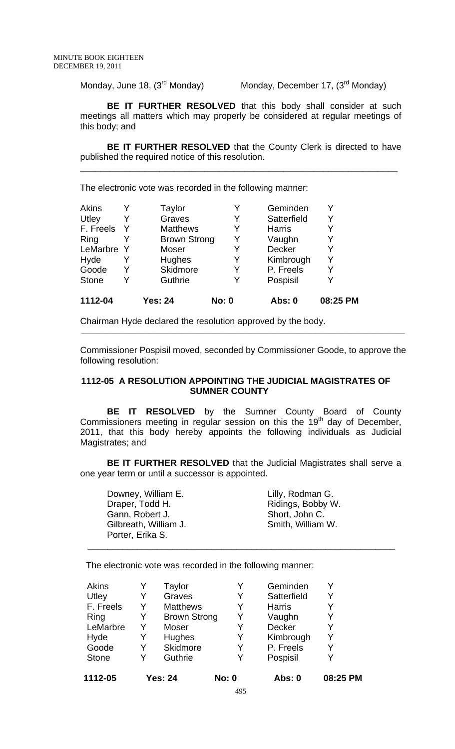Monday, June 18, (3<sup>rd</sup> Monday) Monday, December 17, (3<sup>rd</sup> Monday)

**BE IT FURTHER RESOLVED** that this body shall consider at such meetings all matters which may properly be considered at regular meetings of this body; and

**BE IT FURTHER RESOLVED** that the County Clerk is directed to have published the required notice of this resolution.

\_\_\_\_\_\_\_\_\_\_\_\_\_\_\_\_\_\_\_\_\_\_\_\_\_\_\_\_\_\_\_\_\_\_\_\_\_\_\_\_\_\_\_\_\_\_\_\_\_\_\_\_\_\_\_\_\_\_\_\_\_\_\_\_

The electronic vote was recorded in the following manner:

| 1112-04      |              | <b>Yes: 24</b>      | <b>No: 0</b> | Abs: 0        | 08:25 PM |
|--------------|--------------|---------------------|--------------|---------------|----------|
| <b>Stone</b> | Y            | Guthrie             | Y            | Pospisil      |          |
| Goode        | Y            | Skidmore            | Y            | P. Freels     |          |
| Hyde         |              | Hughes              | Y            | Kimbrough     | v        |
| LeMarbre     | Y            | Moser               | Y            | Decker        |          |
| Ring         |              | <b>Brown Strong</b> | Y            | Vaughn        |          |
| F. Freels    | <sup>Y</sup> | <b>Matthews</b>     | Y            | <b>Harris</b> |          |
| Utley        |              | Graves              | Y            | Satterfield   | v        |
| Akins        |              | Taylor              | Y            | Geminden      |          |

Chairman Hyde declared the resolution approved by the body.

Commissioner Pospisil moved, seconded by Commissioner Goode, to approve the following resolution:

\_\_\_\_\_\_\_\_\_\_\_\_\_\_\_\_\_\_\_\_\_\_\_\_\_\_\_\_\_\_\_\_\_\_\_\_\_\_\_\_\_\_\_\_\_\_\_\_\_\_\_\_\_\_\_\_\_\_\_\_\_\_\_\_\_\_\_\_\_\_\_\_\_\_\_\_\_\_\_\_\_\_\_\_\_\_\_

### **1112-05 A RESOLUTION APPOINTING THE JUDICIAL MAGISTRATES OF SUMNER COUNTY**

**BE IT RESOLVED** by the Sumner County Board of County Commissioners meeting in regular session on this the 19<sup>th</sup> day of December, 2011, that this body hereby appoints the following individuals as Judicial Magistrates; and

**BE IT FURTHER RESOLVED** that the Judicial Magistrates shall serve a one year term or until a successor is appointed.

 $\frac{1}{\sqrt{2\pi}}$  , and the set of the set of the set of the set of the set of the set of the set of the set of the set of the set of the set of the set of the set of the set of the set of the set of the set of the set of th

Downey, William E. **Lilly**, Rodman G. Gann, Robert J. Short, John C. Gilbreath, William J. Smith, William W. Porter, Erika S.

Draper, Todd H. Ridings, Bobby W.

The electronic vote was recorded in the following manner:

| LeMarbre      | Y      | Moser              | Y            | Decker                 | Y        |
|---------------|--------|--------------------|--------------|------------------------|----------|
| Hyde<br>Goode | Y<br>Y | Hughes<br>Skidmore | Y<br>Y       | Kimbrough<br>P. Freels | Y<br>Y   |
| <b>Stone</b>  | Y      | Guthrie            | Y            | Pospisil               | Y        |
| 1112-05       |        | <b>Yes: 24</b>     | <b>No: 0</b> | Abs: 0                 | 08:25 PM |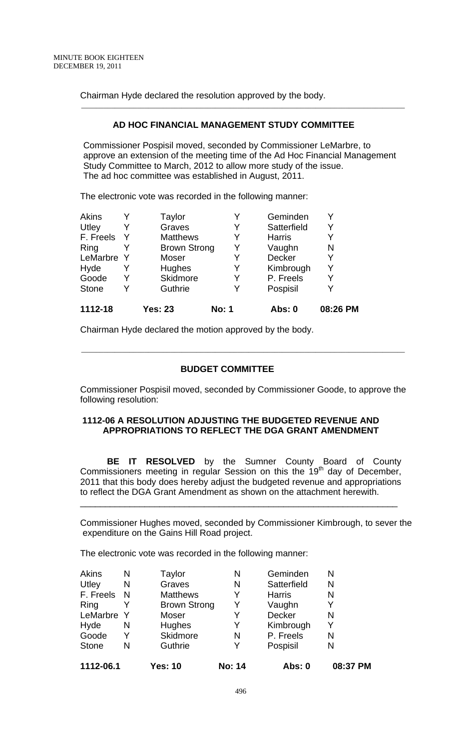Chairman Hyde declared the resolution approved by the body.

### **AD HOC FINANCIAL MANAGEMENT STUDY COMMITTEE**

\_\_\_\_\_\_\_\_\_\_\_\_\_\_\_\_\_\_\_\_\_\_\_\_\_\_\_\_\_\_\_\_\_\_\_\_\_\_\_\_\_\_\_\_\_\_\_\_\_\_\_\_\_\_\_\_\_\_\_\_\_\_\_\_\_\_\_\_\_\_\_\_\_\_\_\_\_\_\_\_\_\_\_\_\_\_\_

Commissioner Pospisil moved, seconded by Commissioner LeMarbre, to approve an extension of the meeting time of the Ad Hoc Financial Management Study Committee to March, 2012 to allow more study of the issue. The ad hoc committee was established in August, 2011.

The electronic vote was recorded in the following manner:

| 1112-18      |   | <b>Yes: 23</b>      | <b>No: 1</b> | Abs: 0        | 08:26 PM |
|--------------|---|---------------------|--------------|---------------|----------|
| <b>Stone</b> | Y | Guthrie             | Y            | Pospisil      |          |
| Goode        | Y | Skidmore            | Y            | P. Freels     |          |
| Hyde         |   | Hughes              | Y            | Kimbrough     | Y        |
| LeMarbre     | Y | Moser               | Y            | <b>Decker</b> | Y        |
| Ring         |   | <b>Brown Strong</b> | Y            | Vaughn        | N        |
| F. Freels    | Y | <b>Matthews</b>     | Y            | <b>Harris</b> |          |
| Utley        |   | Graves              | Y            | Satterfield   |          |
| Akins        |   | Taylor              | Y            | Geminden      |          |

Chairman Hyde declared the motion approved by the body.

### **BUDGET COMMITTEE**

\_\_\_\_\_\_\_\_\_\_\_\_\_\_\_\_\_\_\_\_\_\_\_\_\_\_\_\_\_\_\_\_\_\_\_\_\_\_\_\_\_\_\_\_\_\_\_\_\_\_\_\_\_\_\_\_\_\_\_\_\_\_\_\_\_\_\_\_\_\_\_\_\_\_\_\_\_\_\_\_\_\_\_\_\_\_\_

Commissioner Pospisil moved, seconded by Commissioner Goode, to approve the following resolution:

### **1112-06 A RESOLUTION ADJUSTING THE BUDGETED REVENUE AND APPROPRIATIONS TO REFLECT THE DGA GRANT AMENDMENT**

**BE IT RESOLVED** by the Sumner County Board of County Commissioners meeting in regular Session on this the  $19<sup>th</sup>$  day of December, 2011 that this body does hereby adjust the budgeted revenue and appropriations to reflect the DGA Grant Amendment as shown on the attachment herewith.

\_\_\_\_\_\_\_\_\_\_\_\_\_\_\_\_\_\_\_\_\_\_\_\_\_\_\_\_\_\_\_\_\_\_\_\_\_\_\_\_\_\_\_\_\_\_\_\_\_\_\_\_\_\_\_\_\_\_\_\_\_\_\_\_

Commissioner Hughes moved, seconded by Commissioner Kimbrough, to sever the expenditure on the Gains Hill Road project.

The electronic vote was recorded in the following manner:

| 1112-06.1    |   | <b>Yes: 10</b>      | <b>No: 14</b> | Abs: 0        | 08:37 PM |
|--------------|---|---------------------|---------------|---------------|----------|
| <b>Stone</b> | N | Guthrie             | Y             | Pospisil      | N        |
| Goode        | Y | <b>Skidmore</b>     | N             | P. Freels     | N        |
| Hyde         | N | Hughes              | Y             | Kimbrough     | Y        |
| LeMarbre Y   |   | Moser               | Y             | <b>Decker</b> | N        |
| Ring         |   | <b>Brown Strong</b> | Y             | Vaughn        | Y        |
| F. Freels    | N | <b>Matthews</b>     | Y             | <b>Harris</b> | N        |
| Utley        | N | Graves              | N             | Satterfield   | N        |
| Akins        | N | Taylor              | Ν             | Geminden      | N        |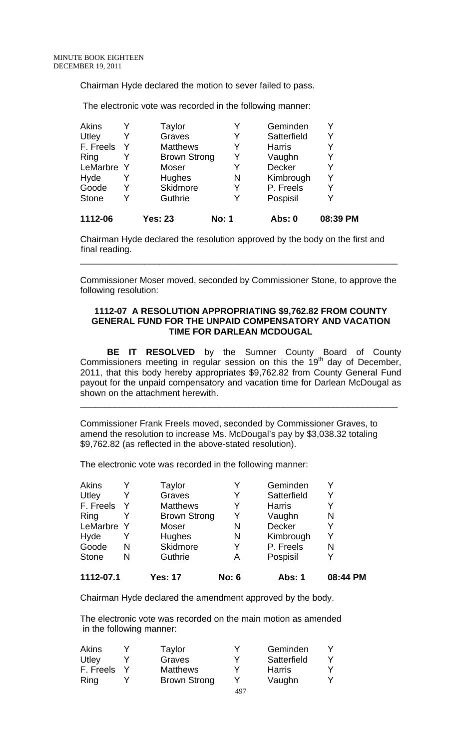Chairman Hyde declared the motion to sever failed to pass.

The electronic vote was recorded in the following manner:

|            |                     |                | Abs: 0        | 08:39 PM |
|------------|---------------------|----------------|---------------|----------|
| Y          | Guthrie             | Y              | Pospisil      |          |
| Y          | <b>Skidmore</b>     | Y              | P. Freels     |          |
| Y          | Hughes              | N              | Kimbrough     | Y        |
| LeMarbre Y | Moser               | Y              | <b>Decker</b> |          |
|            | <b>Brown Strong</b> | Y              | Vaughn        |          |
|            | <b>Matthews</b>     | Y              | <b>Harris</b> |          |
|            | Graves              | Y              | Satterfield   | Y        |
|            | Taylor              |                | Geminden      |          |
|            |                     | <b>Yes: 23</b> | <b>No: 1</b>  |          |

Chairman Hyde declared the resolution approved by the body on the first and final reading.

Commissioner Moser moved, seconded by Commissioner Stone, to approve the following resolution:

\_\_\_\_\_\_\_\_\_\_\_\_\_\_\_\_\_\_\_\_\_\_\_\_\_\_\_\_\_\_\_\_\_\_\_\_\_\_\_\_\_\_\_\_\_\_\_\_\_\_\_\_\_\_\_\_\_\_\_\_\_\_\_\_

#### **1112-07 A RESOLUTION APPROPRIATING \$9,762.82 FROM COUNTY GENERAL FUND FOR THE UNPAID COMPENSATORY AND VACATION TIME FOR DARLEAN MCDOUGAL**

**BE IT RESOLVED** by the Sumner County Board of County Commissioners meeting in regular session on this the  $19<sup>th</sup>$  day of December, 2011, that this body hereby appropriates \$9,762.82 from County General Fund payout for the unpaid compensatory and vacation time for Darlean McDougal as shown on the attachment herewith.

\_\_\_\_\_\_\_\_\_\_\_\_\_\_\_\_\_\_\_\_\_\_\_\_\_\_\_\_\_\_\_\_\_\_\_\_\_\_\_\_\_\_\_\_\_\_\_\_\_\_\_\_\_\_\_\_\_\_\_\_\_\_\_\_

Commissioner Frank Freels moved, seconded by Commissioner Graves, to amend the resolution to increase Ms. McDougal's pay by \$3,038.32 totaling \$9,762.82 (as reflected in the above-stated resolution).

The electronic vote was recorded in the following manner:

| 1112-07.1    |   | <b>Yes: 17</b>      | <b>No: 6</b> | Abs: 1        | 08:44 PM |
|--------------|---|---------------------|--------------|---------------|----------|
| <b>Stone</b> | N | Guthrie             | А            | Pospisil      | V        |
| Goode        | N | Skidmore            | Y            | P. Freels     | N        |
| Hyde         |   | Hughes              | N            | Kimbrough     | Y        |
| LeMarbre     |   | Moser               | N            | <b>Decker</b> | Y        |
| Ring         |   | <b>Brown Strong</b> | Y            | Vaughn        | N        |
| F. Freels    |   | <b>Matthews</b>     | Y            | <b>Harris</b> |          |
| Utley        | Y | Graves              | Y            | Satterfield   | Y        |
| Akins        |   | Taylor              |              | Geminden      |          |

Chairman Hyde declared the amendment approved by the body.

The electronic vote was recorded on the main motion as amended in the following manner:

| Akins     | Taylor              |     | Geminden    |  |
|-----------|---------------------|-----|-------------|--|
| Utley     | Graves              | v   | Satterfield |  |
| F. Freels | <b>Matthews</b>     |     | Harris      |  |
| Ring      | <b>Brown Strong</b> |     | Vaughn      |  |
|           |                     | 497 |             |  |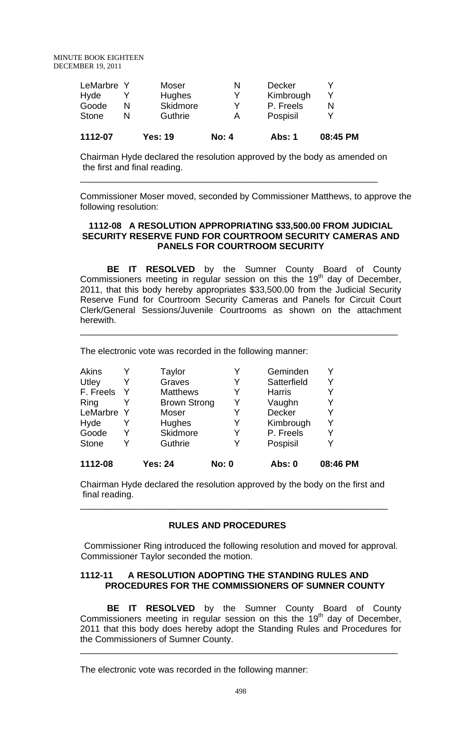| 1112-07      |   | <b>Yes: 19</b> | <b>No: 4</b> | <b>Abs: 1</b> | 08:45 PM |
|--------------|---|----------------|--------------|---------------|----------|
| <b>Stone</b> | N | Guthrie        | А            | Pospisil      |          |
| Goode        | N | Skidmore       | v            | P. Freels     |          |
| Hyde         |   | <b>Hughes</b>  | v            | Kimbrough     |          |
| LeMarbre Y   |   | Moser          | N            | Decker        |          |

Chairman Hyde declared the resolution approved by the body as amended on the first and final reading.

\_\_\_\_\_\_\_\_\_\_\_\_\_\_\_\_\_\_\_\_\_\_\_\_\_\_\_\_\_\_\_\_\_\_\_\_\_\_\_\_\_\_\_\_\_\_\_\_\_\_\_\_\_\_\_\_\_\_\_\_

Commissioner Moser moved, seconded by Commissioner Matthews, to approve the following resolution:

### **1112-08 A RESOLUTION APPROPRIATING \$33,500.00 FROM JUDICIAL SECURITY RESERVE FUND FOR COURTROOM SECURITY CAMERAS AND PANELS FOR COURTROOM SECURITY**

**BE IT RESOLVED** by the Sumner County Board of County Commissioners meeting in regular session on this the  $19<sup>th</sup>$  day of December, 2011, that this body hereby appropriates \$33,500.00 from the Judicial Security Reserve Fund for Courtroom Security Cameras and Panels for Circuit Court Clerk/General Sessions/Juvenile Courtrooms as shown on the attachment herewith.

\_\_\_\_\_\_\_\_\_\_\_\_\_\_\_\_\_\_\_\_\_\_\_\_\_\_\_\_\_\_\_\_\_\_\_\_\_\_\_\_\_\_\_\_\_\_\_\_\_\_\_\_\_\_\_\_\_\_\_\_\_\_\_\_

The electronic vote was recorded in the following manner:

| Akins        |    | Taylor              |              | Geminden      |          |
|--------------|----|---------------------|--------------|---------------|----------|
| Utley        | Y  | Graves              | Y            | Satterfield   | Y        |
| F. Freels    | -Y | <b>Matthews</b>     | Y            | <b>Harris</b> |          |
| Ring         |    | <b>Brown Strong</b> |              | Vaughn        |          |
| LeMarbre     | Y  | Moser               | Y            | <b>Decker</b> |          |
| Hyde         | Y  | Hughes              | Y            | Kimbrough     | Y        |
| Goode        | Y  | Skidmore            | Y            | P. Freels     |          |
| <b>Stone</b> | Y  | Guthrie             |              | Pospisil      |          |
| 1112-08      |    | <b>Yes: 24</b>      | <b>No: 0</b> | Abs: 0        | 08:46 PM |

Chairman Hyde declared the resolution approved by the body on the first and final reading.

\_\_\_\_\_\_\_\_\_\_\_\_\_\_\_\_\_\_\_\_\_\_\_\_\_\_\_\_\_\_\_\_\_\_\_\_\_\_\_\_\_\_\_\_\_\_\_\_\_\_\_\_\_\_\_\_\_\_\_\_\_\_

### **RULES AND PROCEDURES**

Commissioner Ring introduced the following resolution and moved for approval. Commissioner Taylor seconded the motion.

### **1112-11 A RESOLUTION ADOPTING THE STANDING RULES AND PROCEDURES FOR THE COMMISSIONERS OF SUMNER COUNTY**

 **BE IT RESOLVED** by the Sumner County Board of County Commissioners meeting in regular session on this the  $19<sup>th</sup>$  day of December, 2011 that this body does hereby adopt the Standing Rules and Procedures for the Commissioners of Sumner County.

\_\_\_\_\_\_\_\_\_\_\_\_\_\_\_\_\_\_\_\_\_\_\_\_\_\_\_\_\_\_\_\_\_\_\_\_\_\_\_\_\_\_\_\_\_\_\_\_\_\_\_\_\_\_\_\_\_\_\_\_\_\_\_\_

The electronic vote was recorded in the following manner: